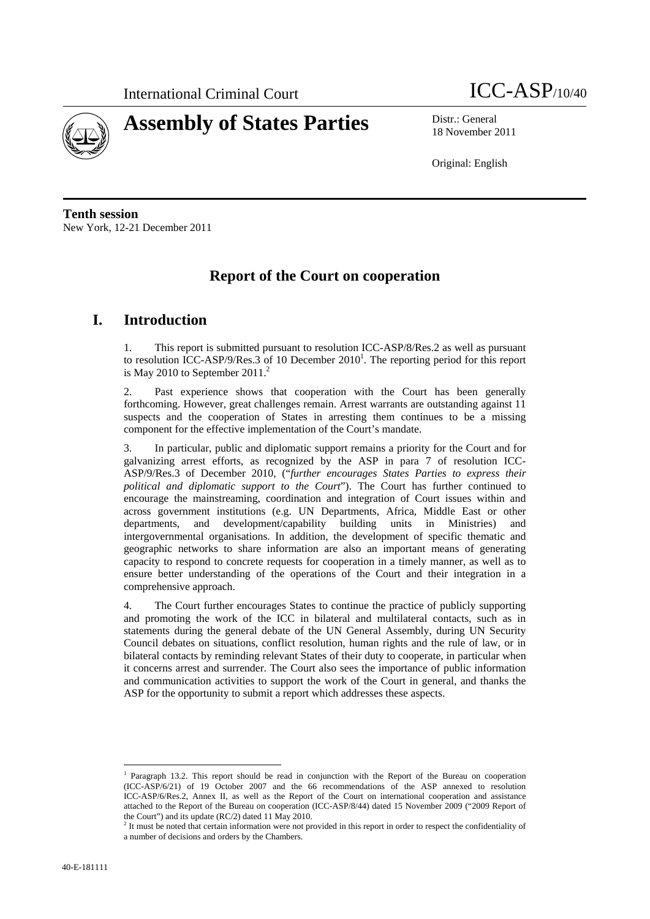



18 November 2011

Original: English

**Tenth session**  New York, 12-21 December 2011

# **Report of the Court on cooperation**

# **I. Introduction**

1. This report is submitted pursuant to resolution ICC-ASP/8/Res.2 as well as pursuant to resolution ICC-ASP/9/Res.3 of 10 December  $2010<sup>1</sup>$ . The reporting period for this report is May 2010 to September 2011.<sup>2</sup>

2. Past experience shows that cooperation with the Court has been generally forthcoming. However, great challenges remain. Arrest warrants are outstanding against 11 suspects and the cooperation of States in arresting them continues to be a missing component for the effective implementation of the Court's mandate.

3. In particular, public and diplomatic support remains a priority for the Court and for galvanizing arrest efforts, as recognized by the ASP in para 7 of resolution ICC-ASP/9/Res.3 of December 2010, ("*further encourages States Parties to express their political and diplomatic support to the Court*"). The Court has further continued to encourage the mainstreaming, coordination and integration of Court issues within and across government institutions (e.g. UN Departments, Africa, Middle East or other departments, and development/capability building units in Ministries) and intergovernmental organisations. In addition, the development of specific thematic and geographic networks to share information are also an important means of generating capacity to respond to concrete requests for cooperation in a timely manner, as well as to ensure better understanding of the operations of the Court and their integration in a comprehensive approach.

4. The Court further encourages States to continue the practice of publicly supporting and promoting the work of the ICC in bilateral and multilateral contacts, such as in statements during the general debate of the UN General Assembly, during UN Security Council debates on situations, conflict resolution, human rights and the rule of law, or in bilateral contacts by reminding relevant States of their duty to cooperate, in particular when it concerns arrest and surrender. The Court also sees the importance of public information and communication activities to support the work of the Court in general, and thanks the ASP for the opportunity to submit a report which addresses these aspects.

 $\overline{a}$ <sup>1</sup> Paragraph 13.2. This report should be read in conjunction with the Report of the Bureau on cooperation (ICC-ASP/6/21) of 19 October 2007 and the 66 recommendations of the ASP annexed to resolution ICC-ASP/6/Res.2, Annex II, as well as the Report of the Court on international cooperation and assistance attached to the Report of the Bureau on cooperation (ICC-ASP/8/44) dated 15 November 2009 ("2009 Report of the Court") and its update (RC/2) dated 11 May 2010.

<sup>&</sup>lt;sup>2</sup> It must be noted that certain information were not provided in this report in order to respect the confidentiality of a number of decisions and orders by the Chambers.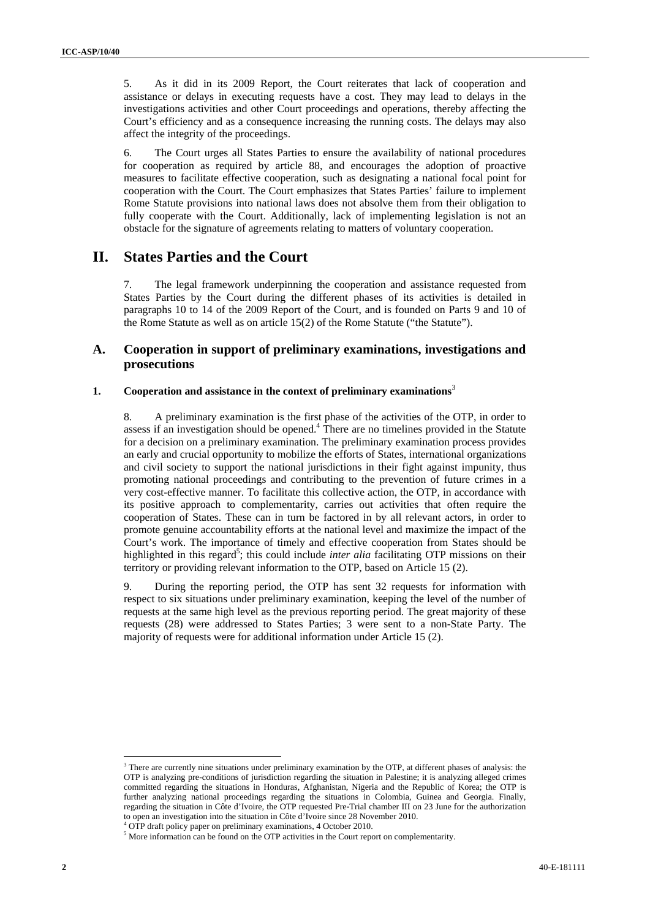5. As it did in its 2009 Report, the Court reiterates that lack of cooperation and assistance or delays in executing requests have a cost. They may lead to delays in the investigations activities and other Court proceedings and operations, thereby affecting the Court's efficiency and as a consequence increasing the running costs. The delays may also affect the integrity of the proceedings.

6. The Court urges all States Parties to ensure the availability of national procedures for cooperation as required by article 88, and encourages the adoption of proactive measures to facilitate effective cooperation, such as designating a national focal point for cooperation with the Court. The Court emphasizes that States Parties' failure to implement Rome Statute provisions into national laws does not absolve them from their obligation to fully cooperate with the Court. Additionally, lack of implementing legislation is not an obstacle for the signature of agreements relating to matters of voluntary cooperation.

# **II. States Parties and the Court**

7. The legal framework underpinning the cooperation and assistance requested from States Parties by the Court during the different phases of its activities is detailed in paragraphs 10 to 14 of the 2009 Report of the Court, and is founded on Parts 9 and 10 of the Rome Statute as well as on article 15(2) of the Rome Statute ("the Statute").

## **A. Cooperation in support of preliminary examinations, investigations and prosecutions**

### **1. Cooperation and assistance in the context of preliminary examinations**<sup>3</sup>

8. A preliminary examination is the first phase of the activities of the OTP, in order to assess if an investigation should be opened. $4$  There are no timelines provided in the Statute for a decision on a preliminary examination. The preliminary examination process provides an early and crucial opportunity to mobilize the efforts of States, international organizations and civil society to support the national jurisdictions in their fight against impunity, thus promoting national proceedings and contributing to the prevention of future crimes in a very cost-effective manner. To facilitate this collective action, the OTP, in accordance with its positive approach to complementarity, carries out activities that often require the cooperation of States. These can in turn be factored in by all relevant actors, in order to promote genuine accountability efforts at the national level and maximize the impact of the Court's work. The importance of timely and effective cooperation from States should be highlighted in this regard<sup>5</sup>; this could include *inter alia* facilitating OTP missions on their territory or providing relevant information to the OTP, based on Article 15 (2).

9. During the reporting period, the OTP has sent 32 requests for information with respect to six situations under preliminary examination, keeping the level of the number of requests at the same high level as the previous reporting period. The great majority of these requests (28) were addressed to States Parties; 3 were sent to a non-State Party. The majority of requests were for additional information under Article 15 (2).

 $\overline{a}$  $3$  There are currently nine situations under preliminary examination by the OTP, at different phases of analysis: the OTP is analyzing pre-conditions of jurisdiction regarding the situation in Palestine; it is analyzing alleged crimes committed regarding the situations in Honduras, Afghanistan, Nigeria and the Republic of Korea; the OTP is further analyzing national proceedings regarding the situations in Colombia, Guinea and Georgia. Finally, regarding the situation in Côte d'Ivoire, the OTP requested Pre‐Trial chamber III on 23 June for the authorization to open an investigation into the situation in Côte d'Ivoire since 28 November 2010. 4

<sup>&</sup>lt;sup>4</sup> OTP draft policy paper on preliminary examinations, 4 October 2010.

<sup>&</sup>lt;sup>5</sup> More information can be found on the OTP activities in the Court report on complementarity.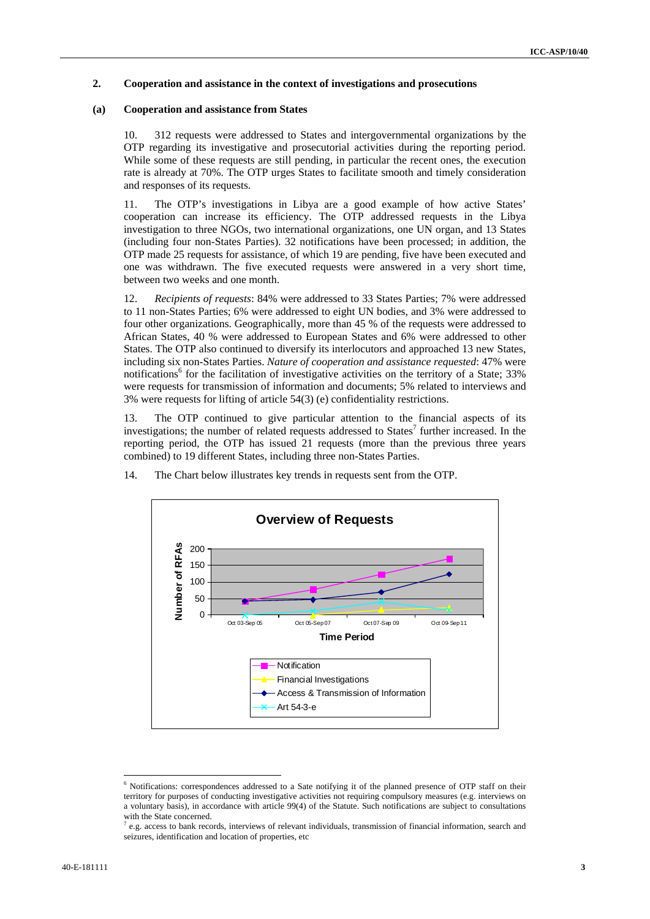### **2. Cooperation and assistance in the context of investigations and prosecutions**

#### **(a) Cooperation and assistance from States**

10. 312 requests were addressed to States and intergovernmental organizations by the OTP regarding its investigative and prosecutorial activities during the reporting period. While some of these requests are still pending, in particular the recent ones, the execution rate is already at 70%. The OTP urges States to facilitate smooth and timely consideration and responses of its requests.

11. The OTP's investigations in Libya are a good example of how active States' cooperation can increase its efficiency. The OTP addressed requests in the Libya investigation to three NGOs, two international organizations, one UN organ, and 13 States (including four non-States Parties). 32 notifications have been processed; in addition, the OTP made 25 requests for assistance, of which 19 are pending, five have been executed and one was withdrawn. The five executed requests were answered in a very short time, between two weeks and one month.

12. *Recipients of requests*: 84% were addressed to 33 States Parties; 7% were addressed to 11 non-States Parties; 6% were addressed to eight UN bodies, and 3% were addressed to four other organizations. Geographically, more than 45 % of the requests were addressed to African States, 40 % were addressed to European States and 6% were addressed to other States. The OTP also continued to diversify its interlocutors and approached 13 new States, including six non-States Parties. *Nature of cooperation and assistance requested*: 47% were notifications<sup>6</sup> for the facilitation of investigative activities on the territory of a State; 33% were requests for transmission of information and documents; 5% related to interviews and 3% were requests for lifting of article 54(3) (e) confidentiality restrictions.

13. The OTP continued to give particular attention to the financial aspects of its investigations; the number of related requests addressed to States<sup>7</sup> further increased. In the reporting period, the OTP has issued 21 requests (more than the previous three years combined) to 19 different States, including three non-States Parties.



14. The Chart below illustrates key trends in requests sent from the OTP.

<sup>&</sup>lt;sup>6</sup> Notifications: correspondences addressed to a Sate notifying it of the planned presence of OTP staff on their territory for purposes of conducting investigative activities not requiring compulsory measures (e.g. interviews on a voluntary basis), in accordance with article 99(4) of the Statute. Such notifications are subject to consultations with the State concerned.

 $^7$  e.g. access to bank records, interviews of relevant individuals, transmission of financial information, search and seizures, identification and location of properties, etc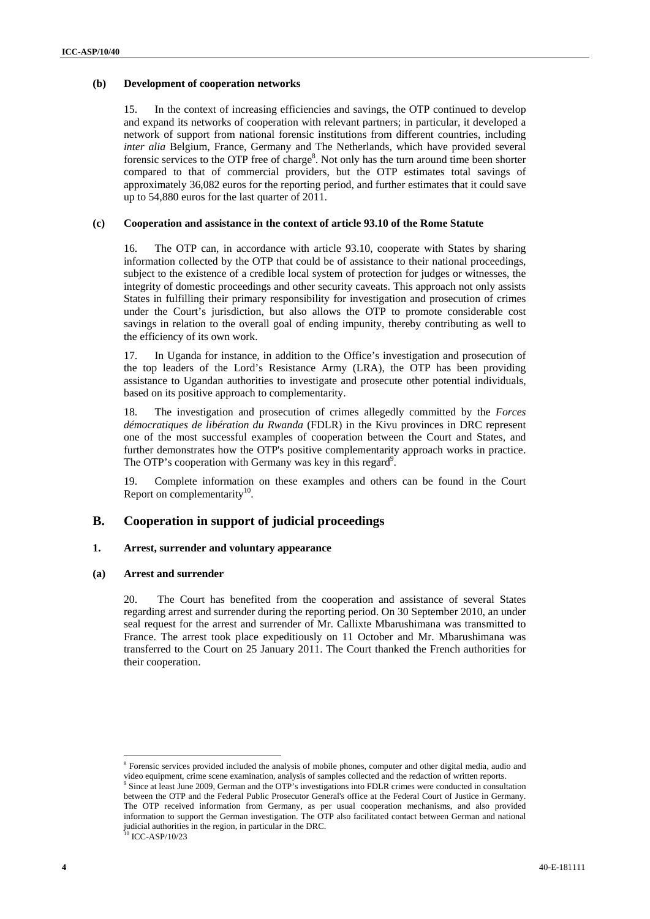#### **(b) Development of cooperation networks**

15. In the context of increasing efficiencies and savings, the OTP continued to develop and expand its networks of cooperation with relevant partners; in particular, it developed a network of support from national forensic institutions from different countries, including *inter alia* Belgium, France, Germany and The Netherlands, which have provided several forensic services to the OTP free of charge<sup>8</sup>. Not only has the turn around time been shorter compared to that of commercial providers, but the OTP estimates total savings of approximately 36,082 euros for the reporting period, and further estimates that it could save up to 54,880 euros for the last quarter of 2011.

#### **(c) Cooperation and assistance in the context of article 93.10 of the Rome Statute**

16. The OTP can, in accordance with article 93.10, cooperate with States by sharing information collected by the OTP that could be of assistance to their national proceedings, subject to the existence of a credible local system of protection for judges or witnesses, the integrity of domestic proceedings and other security caveats. This approach not only assists States in fulfilling their primary responsibility for investigation and prosecution of crimes under the Court's jurisdiction, but also allows the OTP to promote considerable cost savings in relation to the overall goal of ending impunity, thereby contributing as well to the efficiency of its own work.

17. In Uganda for instance, in addition to the Office's investigation and prosecution of the top leaders of the Lord's Resistance Army (LRA), the OTP has been providing assistance to Ugandan authorities to investigate and prosecute other potential individuals, based on its positive approach to complementarity.

18. The investigation and prosecution of crimes allegedly committed by the *Forces démocratiques de libération du Rwanda* (FDLR) in the Kivu provinces in DRC represent one of the most successful examples of cooperation between the Court and States, and further demonstrates how the OTP's positive complementarity approach works in practice. The OTP's cooperation with Germany was key in this regard<sup>9</sup>.

19. Complete information on these examples and others can be found in the Court Report on complementarity $10$ .

## **B. Cooperation in support of judicial proceedings**

#### **1. Arrest, surrender and voluntary appearance**

#### **(a) Arrest and surrender**

20. The Court has benefited from the cooperation and assistance of several States regarding arrest and surrender during the reporting period. On 30 September 2010, an under seal request for the arrest and surrender of Mr. Callixte Mbarushimana was transmitted to France. The arrest took place expeditiously on 11 October and Mr. Mbarushimana was transferred to the Court on 25 January 2011. The Court thanked the French authorities for their cooperation.

<sup>&</sup>lt;sup>8</sup> Forensic services provided included the analysis of mobile phones, computer and other digital media, audio and video equipment, crime scene examination, analysis of samples collected and the redaction of written reports. 9

<sup>&</sup>lt;sup>9</sup> Since at least June 2009, German and the OTP's investigations into FDLR crimes were conducted in consultation between the OTP and the Federal Public Prosecutor General's office at the Federal Court of Justice in Germany. The OTP received information from Germany, as per usual cooperation mechanisms, and also provided information to support the German investigation. The OTP also facilitated contact between German and national judicial authorities in the region, in particular in the DRC.

<sup>&</sup>lt;sup>10</sup> ICC-ASP/10/23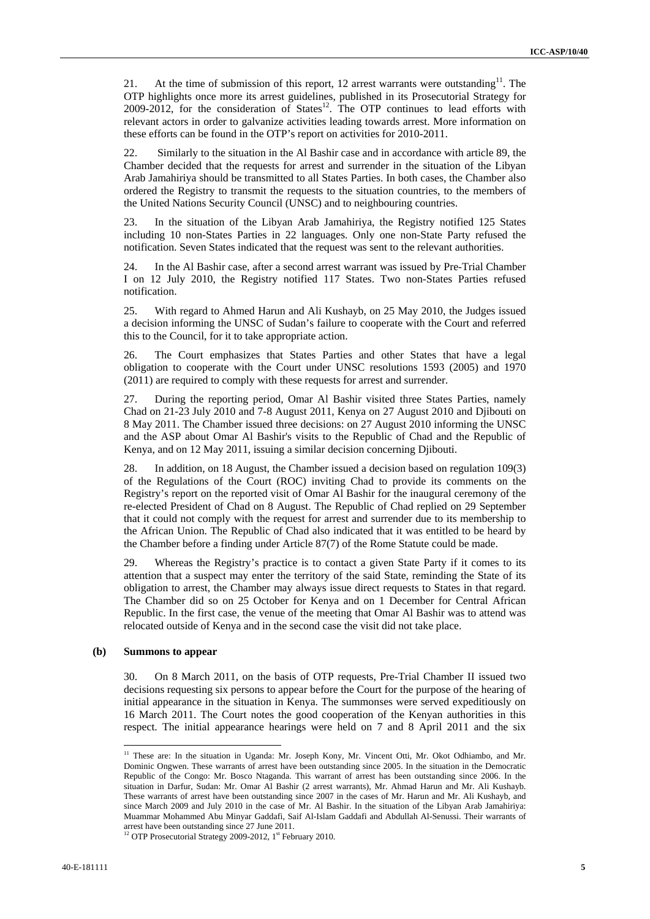21. At the time of submission of this report, 12 arrest warrants were outstanding<sup>11</sup>. The OTP highlights once more its arrest guidelines, published in its Prosecutorial Strategy for  $2009-2012$ , for the consideration of States<sup>12</sup>. The OTP continues to lead efforts with relevant actors in order to galvanize activities leading towards arrest. More information on these efforts can be found in the OTP's report on activities for 2010-2011.

22. Similarly to the situation in the Al Bashir case and in accordance with article 89, the Chamber decided that the requests for arrest and surrender in the situation of the Libyan Arab Jamahiriya should be transmitted to all States Parties. In both cases, the Chamber also ordered the Registry to transmit the requests to the situation countries, to the members of the United Nations Security Council (UNSC) and to neighbouring countries.

23. In the situation of the Libyan Arab Jamahiriya, the Registry notified 125 States including 10 non-States Parties in 22 languages. Only one non-State Party refused the notification. Seven States indicated that the request was sent to the relevant authorities.

24. In the Al Bashir case, after a second arrest warrant was issued by Pre-Trial Chamber I on 12 July 2010, the Registry notified 117 States. Two non-States Parties refused notification.

25. With regard to Ahmed Harun and Ali Kushayb, on 25 May 2010, the Judges issued a decision informing the UNSC of Sudan's failure to cooperate with the Court and referred this to the Council, for it to take appropriate action.

26. The Court emphasizes that States Parties and other States that have a legal obligation to cooperate with the Court under UNSC resolutions 1593 (2005) and 1970 (2011) are required to comply with these requests for arrest and surrender.

27. During the reporting period, Omar Al Bashir visited three States Parties, namely Chad on 21-23 July 2010 and 7-8 August 2011, Kenya on 27 August 2010 and Djibouti on 8 May 2011. The Chamber issued three decisions: on 27 August 2010 informing the UNSC and the ASP about Omar Al Bashir's visits to the Republic of Chad and the Republic of Kenya, and on 12 May 2011, issuing a similar decision concerning Djibouti.

28. In addition, on 18 August, the Chamber issued a decision based on regulation 109(3) of the Regulations of the Court (ROC) inviting Chad to provide its comments on the Registry's report on the reported visit of Omar Al Bashir for the inaugural ceremony of the re-elected President of Chad on 8 August. The Republic of Chad replied on 29 September that it could not comply with the request for arrest and surrender due to its membership to the African Union. The Republic of Chad also indicated that it was entitled to be heard by the Chamber before a finding under Article 87(7) of the Rome Statute could be made.

29. Whereas the Registry's practice is to contact a given State Party if it comes to its attention that a suspect may enter the territory of the said State, reminding the State of its obligation to arrest, the Chamber may always issue direct requests to States in that regard. The Chamber did so on 25 October for Kenya and on 1 December for Central African Republic. In the first case, the venue of the meeting that Omar Al Bashir was to attend was relocated outside of Kenya and in the second case the visit did not take place.

#### **(b) Summons to appear**

 $\overline{a}$ 

30. On 8 March 2011, on the basis of OTP requests, Pre-Trial Chamber II issued two decisions requesting six persons to appear before the Court for the purpose of the hearing of initial appearance in the situation in Kenya. The summonses were served expeditiously on 16 March 2011. The Court notes the good cooperation of the Kenyan authorities in this respect. The initial appearance hearings were held on 7 and 8 April 2011 and the six

<sup>&</sup>lt;sup>11</sup> These are: In the situation in Uganda: Mr. Joseph Kony, Mr. Vincent Otti, Mr. Okot Odhiambo, and Mr. Dominic Ongwen. These warrants of arrest have been outstanding since 2005. In the situation in the Democratic Republic of the Congo: Mr. Bosco Ntaganda. This warrant of arrest has been outstanding since 2006. In the situation in Darfur, Sudan: Mr. Omar Al Bashir (2 arrest warrants), Mr. Ahmad Harun and Mr. Ali Kushayb. These warrants of arrest have been outstanding since 2007 in the cases of Mr. Harun and Mr. Ali Kushayb, and since March 2009 and July 2010 in the case of Mr. Al Bashir. In the situation of the Libyan Arab Jamahiriya: Muammar Mohammed Abu Minyar Gaddafi, Saif Al-Islam Gaddafi and Abdullah Al-Senussi. Their warrants of arrest have been outstanding since 27 June 2011.

<sup>&</sup>lt;sup>12</sup> OTP Prosecutorial Strategy 2009-2012, 1<sup>st</sup> February 2010.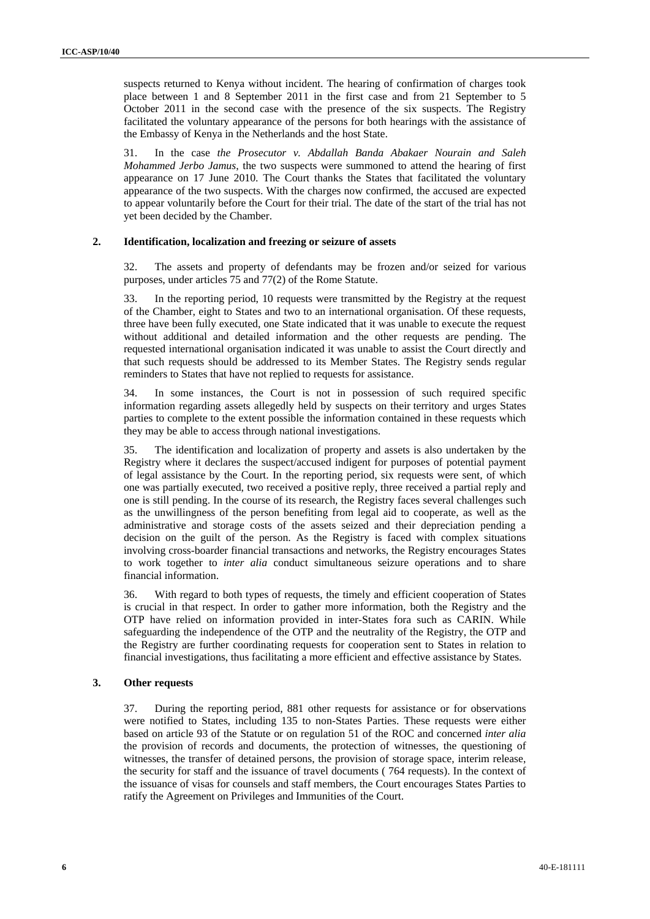suspects returned to Kenya without incident. The hearing of confirmation of charges took place between 1 and 8 September 2011 in the first case and from 21 September to 5 October 2011 in the second case with the presence of the six suspects. The Registry facilitated the voluntary appearance of the persons for both hearings with the assistance of the Embassy of Kenya in the Netherlands and the host State.

31. In the case *the Prosecutor v. Abdallah Banda Abakaer Nourain and Saleh Mohammed Jerbo Jamus*, the two suspects were summoned to attend the hearing of first appearance on 17 June 2010. The Court thanks the States that facilitated the voluntary appearance of the two suspects. With the charges now confirmed, the accused are expected to appear voluntarily before the Court for their trial. The date of the start of the trial has not yet been decided by the Chamber.

#### **2. Identification, localization and freezing or seizure of assets**

32. The assets and property of defendants may be frozen and/or seized for various purposes, under articles 75 and 77(2) of the Rome Statute.

33. In the reporting period, 10 requests were transmitted by the Registry at the request of the Chamber, eight to States and two to an international organisation. Of these requests, three have been fully executed, one State indicated that it was unable to execute the request without additional and detailed information and the other requests are pending. The requested international organisation indicated it was unable to assist the Court directly and that such requests should be addressed to its Member States. The Registry sends regular reminders to States that have not replied to requests for assistance.

34. In some instances, the Court is not in possession of such required specific information regarding assets allegedly held by suspects on their territory and urges States parties to complete to the extent possible the information contained in these requests which they may be able to access through national investigations.

35. The identification and localization of property and assets is also undertaken by the Registry where it declares the suspect/accused indigent for purposes of potential payment of legal assistance by the Court. In the reporting period, six requests were sent, of which one was partially executed, two received a positive reply, three received a partial reply and one is still pending. In the course of its research, the Registry faces several challenges such as the unwillingness of the person benefiting from legal aid to cooperate, as well as the administrative and storage costs of the assets seized and their depreciation pending a decision on the guilt of the person. As the Registry is faced with complex situations involving cross-boarder financial transactions and networks, the Registry encourages States to work together to *inter alia* conduct simultaneous seizure operations and to share financial information.

36. With regard to both types of requests, the timely and efficient cooperation of States is crucial in that respect. In order to gather more information, both the Registry and the OTP have relied on information provided in inter-States fora such as CARIN. While safeguarding the independence of the OTP and the neutrality of the Registry, the OTP and the Registry are further coordinating requests for cooperation sent to States in relation to financial investigations, thus facilitating a more efficient and effective assistance by States.

#### **3. Other requests**

37. During the reporting period, 881 other requests for assistance or for observations were notified to States, including 135 to non-States Parties. These requests were either based on article 93 of the Statute or on regulation 51 of the ROC and concerned *inter alia* the provision of records and documents, the protection of witnesses, the questioning of witnesses, the transfer of detained persons, the provision of storage space, interim release, the security for staff and the issuance of travel documents ( 764 requests). In the context of the issuance of visas for counsels and staff members, the Court encourages States Parties to ratify the Agreement on Privileges and Immunities of the Court.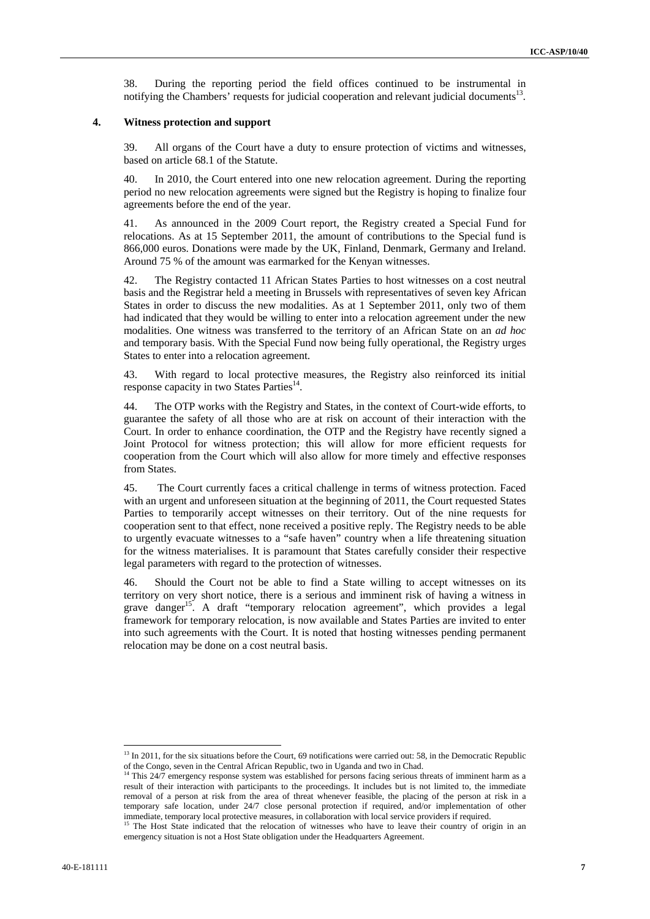38. During the reporting period the field offices continued to be instrumental in notifying the Chambers' requests for judicial cooperation and relevant judicial documents<sup>13</sup>.

#### **4. Witness protection and support**

39. All organs of the Court have a duty to ensure protection of victims and witnesses, based on article 68.1 of the Statute.

40. In 2010, the Court entered into one new relocation agreement. During the reporting period no new relocation agreements were signed but the Registry is hoping to finalize four agreements before the end of the year.

41. As announced in the 2009 Court report, the Registry created a Special Fund for relocations. As at 15 September 2011, the amount of contributions to the Special fund is 866,000 euros. Donations were made by the UK, Finland, Denmark, Germany and Ireland. Around 75 % of the amount was earmarked for the Kenyan witnesses.

42. The Registry contacted 11 African States Parties to host witnesses on a cost neutral basis and the Registrar held a meeting in Brussels with representatives of seven key African States in order to discuss the new modalities. As at 1 September 2011, only two of them had indicated that they would be willing to enter into a relocation agreement under the new modalities. One witness was transferred to the territory of an African State on an *ad hoc* and temporary basis. With the Special Fund now being fully operational, the Registry urges States to enter into a relocation agreement.

43. With regard to local protective measures, the Registry also reinforced its initial response capacity in two States Parties<sup>14</sup>.

44. The OTP works with the Registry and States, in the context of Court-wide efforts, to guarantee the safety of all those who are at risk on account of their interaction with the Court. In order to enhance coordination, the OTP and the Registry have recently signed a Joint Protocol for witness protection; this will allow for more efficient requests for cooperation from the Court which will also allow for more timely and effective responses from States.

45. The Court currently faces a critical challenge in terms of witness protection. Faced with an urgent and unforeseen situation at the beginning of 2011, the Court requested States Parties to temporarily accept witnesses on their territory. Out of the nine requests for cooperation sent to that effect, none received a positive reply. The Registry needs to be able to urgently evacuate witnesses to a "safe haven" country when a life threatening situation for the witness materialises. It is paramount that States carefully consider their respective legal parameters with regard to the protection of witnesses.

46. Should the Court not be able to find a State willing to accept witnesses on its territory on very short notice, there is a serious and imminent risk of having a witness in grave danger<sup>15</sup>. A draft "temporary relocation agreement", which provides a legal framework for temporary relocation, is now available and States Parties are invited to enter into such agreements with the Court. It is noted that hosting witnesses pending permanent relocation may be done on a cost neutral basis.

<sup>&</sup>lt;sup>13</sup> In 2011, for the six situations before the Court, 69 notifications were carried out: 58, in the Democratic Republic of the Congo, seven in the Central African Republic, two in Uganda and two in Chad. <sup>14</sup> This 24/7 emergency response system was established for persons facing serious threats of imminent harm as a

result of their interaction with participants to the proceedings. It includes but is not limited to, the immediate removal of a person at risk from the area of threat whenever feasible, the placing of the person at risk in a temporary safe location, under 24/7 close personal protection if required, and/or implementation of other immediate, temporary local protective measures, in collaboration with local service providers if required.<br><sup>15</sup> The Host State indicated that the relocation of witnesses who have to leave their country of origin in an

emergency situation is not a Host State obligation under the Headquarters Agreement.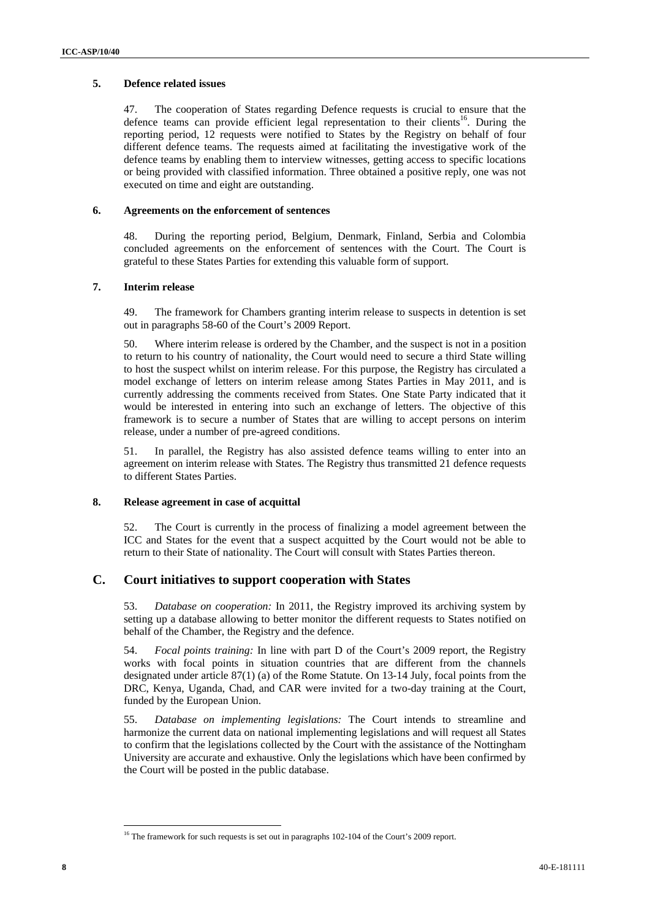### **5. Defence related issues**

47. The cooperation of States regarding Defence requests is crucial to ensure that the defence teams can provide efficient legal representation to their clients<sup>16</sup>. During the reporting period, 12 requests were notified to States by the Registry on behalf of four different defence teams. The requests aimed at facilitating the investigative work of the defence teams by enabling them to interview witnesses, getting access to specific locations or being provided with classified information. Three obtained a positive reply, one was not executed on time and eight are outstanding.

#### **6. Agreements on the enforcement of sentences**

48. During the reporting period, Belgium, Denmark, Finland, Serbia and Colombia concluded agreements on the enforcement of sentences with the Court. The Court is grateful to these States Parties for extending this valuable form of support.

#### **7. Interim release**

49. The framework for Chambers granting interim release to suspects in detention is set out in paragraphs 58-60 of the Court's 2009 Report.

50. Where interim release is ordered by the Chamber, and the suspect is not in a position to return to his country of nationality, the Court would need to secure a third State willing to host the suspect whilst on interim release. For this purpose, the Registry has circulated a model exchange of letters on interim release among States Parties in May 2011, and is currently addressing the comments received from States. One State Party indicated that it would be interested in entering into such an exchange of letters. The objective of this framework is to secure a number of States that are willing to accept persons on interim release, under a number of pre-agreed conditions.

51. In parallel, the Registry has also assisted defence teams willing to enter into an agreement on interim release with States. The Registry thus transmitted 21 defence requests to different States Parties.

#### **8. Release agreement in case of acquittal**

52. The Court is currently in the process of finalizing a model agreement between the ICC and States for the event that a suspect acquitted by the Court would not be able to return to their State of nationality. The Court will consult with States Parties thereon.

## **C. Court initiatives to support cooperation with States**

53. *Database on cooperation:* In 2011, the Registry improved its archiving system by setting up a database allowing to better monitor the different requests to States notified on behalf of the Chamber, the Registry and the defence.

54. *Focal points training:* In line with part D of the Court's 2009 report, the Registry works with focal points in situation countries that are different from the channels designated under article 87(1) (a) of the Rome Statute. On 13-14 July, focal points from the DRC, Kenya, Uganda, Chad, and CAR were invited for a two-day training at the Court, funded by the European Union.

55. *Database on implementing legislations:* The Court intends to streamline and harmonize the current data on national implementing legislations and will request all States to confirm that the legislations collected by the Court with the assistance of the Nottingham University are accurate and exhaustive. Only the legislations which have been confirmed by the Court will be posted in the public database.

<sup>&</sup>lt;sup>16</sup> The framework for such requests is set out in paragraphs 102-104 of the Court's 2009 report.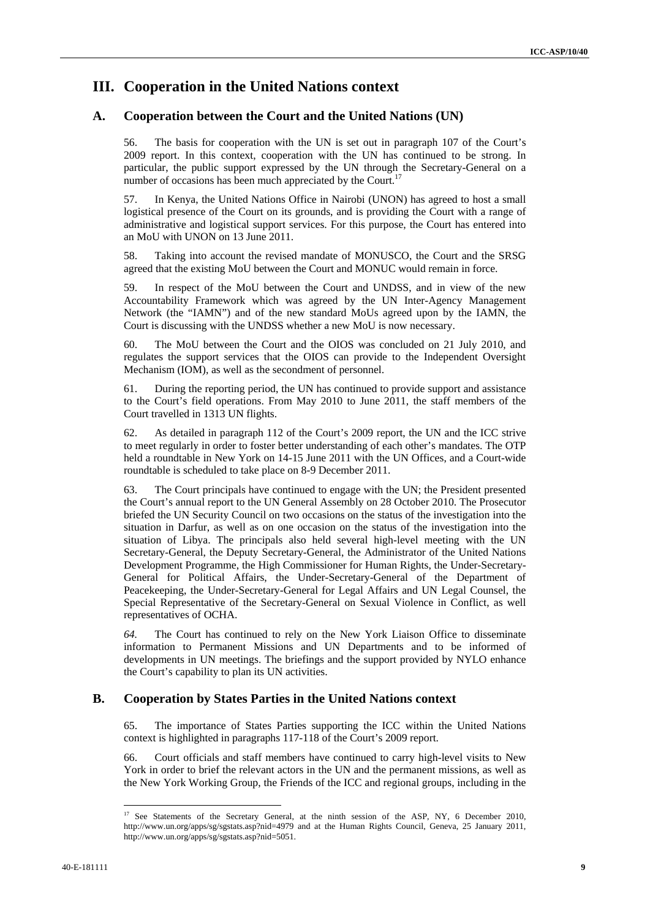## **III. Cooperation in the United Nations context**

## **A. Cooperation between the Court and the United Nations (UN)**

56. The basis for cooperation with the UN is set out in paragraph 107 of the Court's 2009 report. In this context, cooperation with the UN has continued to be strong. In particular, the public support expressed by the UN through the Secretary-General on a number of occasions has been much appreciated by the Court.<sup>17</sup>

57. In Kenya, the United Nations Office in Nairobi (UNON) has agreed to host a small logistical presence of the Court on its grounds, and is providing the Court with a range of administrative and logistical support services. For this purpose, the Court has entered into an MoU with UNON on 13 June 2011.

58. Taking into account the revised mandate of MONUSCO, the Court and the SRSG agreed that the existing MoU between the Court and MONUC would remain in force.

59. In respect of the MoU between the Court and UNDSS, and in view of the new Accountability Framework which was agreed by the UN Inter-Agency Management Network (the "IAMN") and of the new standard MoUs agreed upon by the IAMN, the Court is discussing with the UNDSS whether a new MoU is now necessary.

60. The MoU between the Court and the OIOS was concluded on 21 July 2010, and regulates the support services that the OIOS can provide to the Independent Oversight Mechanism (IOM), as well as the secondment of personnel.

61. During the reporting period, the UN has continued to provide support and assistance to the Court's field operations. From May 2010 to June 2011, the staff members of the Court travelled in 1313 UN flights.

62. As detailed in paragraph 112 of the Court's 2009 report, the UN and the ICC strive to meet regularly in order to foster better understanding of each other's mandates. The OTP held a roundtable in New York on 14-15 June 2011 with the UN Offices, and a Court-wide roundtable is scheduled to take place on 8-9 December 2011.

63. The Court principals have continued to engage with the UN; the President presented the Court's annual report to the UN General Assembly on 28 October 2010. The Prosecutor briefed the UN Security Council on two occasions on the status of the investigation into the situation in Darfur, as well as on one occasion on the status of the investigation into the situation of Libya. The principals also held several high-level meeting with the UN Secretary-General, the Deputy Secretary-General, the Administrator of the United Nations Development Programme, the High Commissioner for Human Rights, the Under-Secretary-General for Political Affairs, the Under-Secretary-General of the Department of Peacekeeping, the Under-Secretary-General for Legal Affairs and UN Legal Counsel, the Special Representative of the Secretary-General on Sexual Violence in Conflict, as well representatives of OCHA.

*64.* The Court has continued to rely on the New York Liaison Office to disseminate information to Permanent Missions and UN Departments and to be informed of developments in UN meetings. The briefings and the support provided by NYLO enhance the Court's capability to plan its UN activities.

## **B. Cooperation by States Parties in the United Nations context**

65. The importance of States Parties supporting the ICC within the United Nations context is highlighted in paragraphs 117-118 of the Court's 2009 report.

66. Court officials and staff members have continued to carry high-level visits to New York in order to brief the relevant actors in the UN and the permanent missions, as well as the New York Working Group, the Friends of the ICC and regional groups, including in the

<sup>&</sup>lt;sup>17</sup> See Statements of the Secretary General, at the ninth session of the ASP, NY, 6 December 2010, http://www.un.org/apps/sg/sgstats.asp?nid=4979 and at the Human Rights Council, Geneva, 25 January 2011, http://www.un.org/apps/sg/sgstats.asp?nid=5051.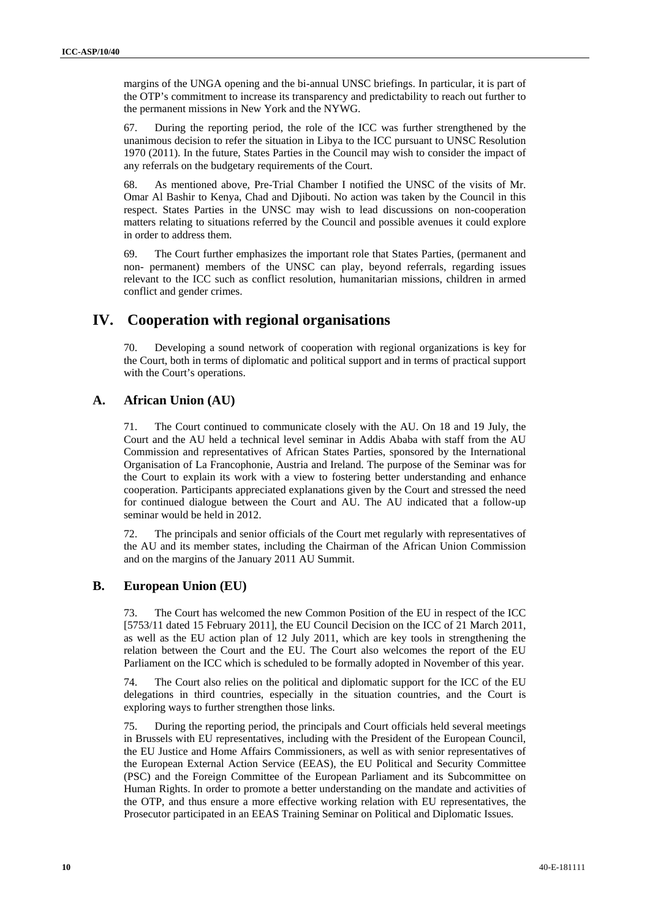margins of the UNGA opening and the bi-annual UNSC briefings. In particular, it is part of the OTP's commitment to increase its transparency and predictability to reach out further to the permanent missions in New York and the NYWG.

67. During the reporting period, the role of the ICC was further strengthened by the unanimous decision to refer the situation in Libya to the ICC pursuant to UNSC Resolution 1970 (2011). In the future, States Parties in the Council may wish to consider the impact of any referrals on the budgetary requirements of the Court.

68. As mentioned above, Pre-Trial Chamber I notified the UNSC of the visits of Mr. Omar Al Bashir to Kenya, Chad and Djibouti. No action was taken by the Council in this respect. States Parties in the UNSC may wish to lead discussions on non-cooperation matters relating to situations referred by the Council and possible avenues it could explore in order to address them.

69. The Court further emphasizes the important role that States Parties, (permanent and non- permanent) members of the UNSC can play, beyond referrals, regarding issues relevant to the ICC such as conflict resolution, humanitarian missions, children in armed conflict and gender crimes.

## **IV. Cooperation with regional organisations**

70. Developing a sound network of cooperation with regional organizations is key for the Court, both in terms of diplomatic and political support and in terms of practical support with the Court's operations.

## **A. African Union (AU)**

71. The Court continued to communicate closely with the AU. On 18 and 19 July, the Court and the AU held a technical level seminar in Addis Ababa with staff from the AU Commission and representatives of African States Parties, sponsored by the International Organisation of La Francophonie, Austria and Ireland. The purpose of the Seminar was for the Court to explain its work with a view to fostering better understanding and enhance cooperation. Participants appreciated explanations given by the Court and stressed the need for continued dialogue between the Court and AU. The AU indicated that a follow-up seminar would be held in 2012.

72. The principals and senior officials of the Court met regularly with representatives of the AU and its member states, including the Chairman of the African Union Commission and on the margins of the January 2011 AU Summit.

## **B. European Union (EU)**

73. The Court has welcomed the new Common Position of the EU in respect of the ICC [5753/11 dated 15 February 2011], the EU Council Decision on the ICC of 21 March 2011, as well as the EU action plan of 12 July 2011, which are key tools in strengthening the relation between the Court and the EU. The Court also welcomes the report of the EU Parliament on the ICC which is scheduled to be formally adopted in November of this year.

74. The Court also relies on the political and diplomatic support for the ICC of the EU delegations in third countries, especially in the situation countries, and the Court is exploring ways to further strengthen those links.

75. During the reporting period, the principals and Court officials held several meetings in Brussels with EU representatives, including with the President of the European Council, the EU Justice and Home Affairs Commissioners, as well as with senior representatives of the European External Action Service (EEAS), the EU Political and Security Committee (PSC) and the Foreign Committee of the European Parliament and its Subcommittee on Human Rights. In order to promote a better understanding on the mandate and activities of the OTP, and thus ensure a more effective working relation with EU representatives, the Prosecutor participated in an EEAS Training Seminar on Political and Diplomatic Issues.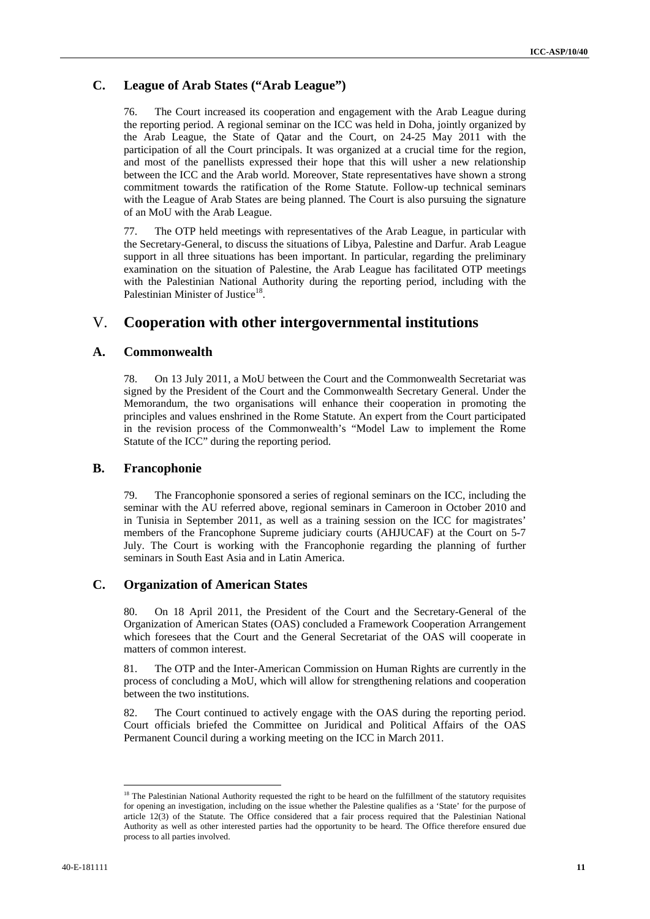## **C. League of Arab States ("Arab League")**

76. The Court increased its cooperation and engagement with the Arab League during the reporting period. A regional seminar on the ICC was held in Doha, jointly organized by the Arab League, the State of Qatar and the Court, on 24-25 May 2011 with the participation of all the Court principals. It was organized at a crucial time for the region, and most of the panellists expressed their hope that this will usher a new relationship between the ICC and the Arab world. Moreover, State representatives have shown a strong commitment towards the ratification of the Rome Statute. Follow-up technical seminars with the League of Arab States are being planned. The Court is also pursuing the signature of an MoU with the Arab League.

77. The OTP held meetings with representatives of the Arab League, in particular with the Secretary-General, to discuss the situations of Libya, Palestine and Darfur. Arab League support in all three situations has been important. In particular, regarding the preliminary examination on the situation of Palestine, the Arab League has facilitated OTP meetings with the Palestinian National Authority during the reporting period, including with the Palestinian Minister of Justice<sup>18</sup>

## V. **Cooperation with other intergovernmental institutions**

## **A. Commonwealth**

78. On 13 July 2011, a MoU between the Court and the Commonwealth Secretariat was signed by the President of the Court and the Commonwealth Secretary General. Under the Memorandum, the two organisations will enhance their cooperation in promoting the principles and values enshrined in the Rome Statute. An expert from the Court participated in the revision process of the Commonwealth's "Model Law to implement the Rome Statute of the ICC" during the reporting period.

### **B. Francophonie**

79. The Francophonie sponsored a series of regional seminars on the ICC, including the seminar with the AU referred above, regional seminars in Cameroon in October 2010 and in Tunisia in September 2011, as well as a training session on the ICC for magistrates' members of the Francophone Supreme judiciary courts (AHJUCAF) at the Court on 5-7 July. The Court is working with the Francophonie regarding the planning of further seminars in South East Asia and in Latin America.

## **C. Organization of American States**

80. On 18 April 2011, the President of the Court and the Secretary-General of the Organization of American States (OAS) concluded a Framework Cooperation Arrangement which foresees that the Court and the General Secretariat of the OAS will cooperate in matters of common interest.

81. The OTP and the Inter-American Commission on Human Rights are currently in the process of concluding a MoU, which will allow for strengthening relations and cooperation between the two institutions.

82. The Court continued to actively engage with the OAS during the reporting period. Court officials briefed the Committee on Juridical and Political Affairs of the OAS Permanent Council during a working meeting on the ICC in March 2011.

<sup>&</sup>lt;sup>18</sup> The Palestinian National Authority requested the right to be heard on the fulfillment of the statutory requisites for opening an investigation, including on the issue whether the Palestine qualifies as a 'State' for the purpose of article 12(3) of the Statute. The Office considered that a fair process required that the Palestinian National Authority as well as other interested parties had the opportunity to be heard. The Office therefore ensured due process to all parties involved.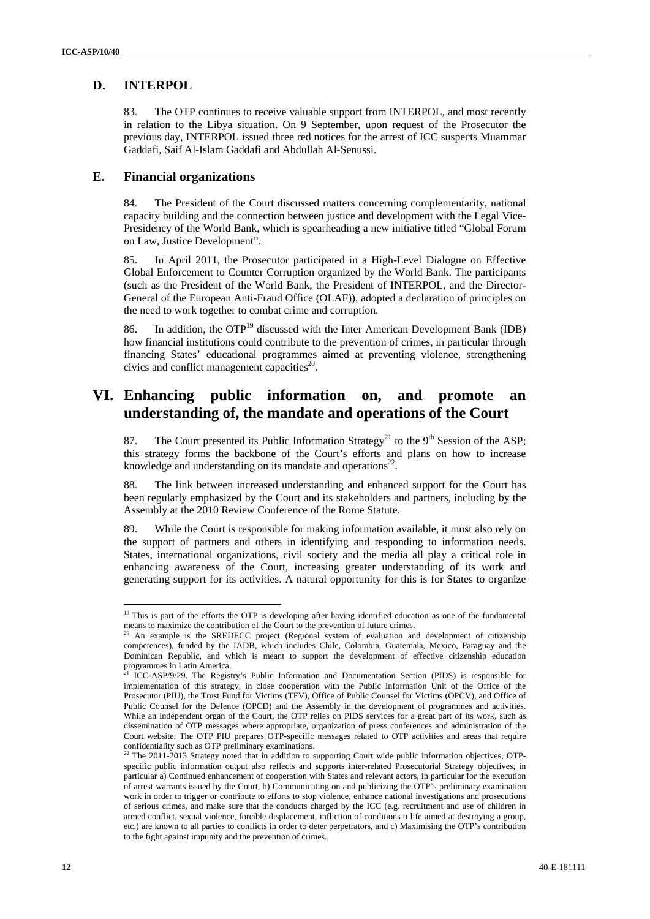## **D. INTERPOL**

83. The OTP continues to receive valuable support from INTERPOL, and most recently in relation to the Libya situation. On 9 September, upon request of the Prosecutor the previous day, INTERPOL issued three red notices for the arrest of ICC suspects Muammar Gaddafi, Saif Al-Islam Gaddafi and Abdullah Al-Senussi.

## **E. Financial organizations**

84. The President of the Court discussed matters concerning complementarity, national capacity building and the connection between justice and development with the Legal Vice-Presidency of the World Bank, which is spearheading a new initiative titled "Global Forum on Law, Justice Development".

85. In April 2011, the Prosecutor participated in a High-Level Dialogue on Effective Global Enforcement to Counter Corruption organized by the World Bank. The participants (such as the President of the World Bank, the President of INTERPOL, and the Director-General of the European Anti-Fraud Office (OLAF)), adopted a declaration of principles on the need to work together to combat crime and corruption.

86. In addition, the  $\text{OTP}^{19}$  discussed with the Inter American Development Bank (IDB) how financial institutions could contribute to the prevention of crimes, in particular through financing States' educational programmes aimed at preventing violence, strengthening civics and conflict management capacities<sup>20</sup>.

# **VI. Enhancing public information on, and promote an understanding of, the mandate and operations of the Court**

87. The Court presented its Public Information Strategy<sup>21</sup> to the 9<sup>th</sup> Session of the ASP; this strategy forms the backbone of the Court's efforts and plans on how to increase knowledge and understanding on its mandate and operations $2^2$ .

88. The link between increased understanding and enhanced support for the Court has been regularly emphasized by the Court and its stakeholders and partners, including by the Assembly at the 2010 Review Conference of the Rome Statute.

89. While the Court is responsible for making information available, it must also rely on the support of partners and others in identifying and responding to information needs. States, international organizations, civil society and the media all play a critical role in enhancing awareness of the Court, increasing greater understanding of its work and generating support for its activities. A natural opportunity for this is for States to organize

<sup>&</sup>lt;sup>19</sup> This is part of the efforts the OTP is developing after having identified education as one of the fundamental

means to maximize the contribution of the Court to the prevention of future crimes.<br><sup>20</sup> An example is the SREDECC project (Regional system of evaluation and development of citizenship competences), funded by the IADB, which includes Chile, Colombia, Guatemala, Mexico, Paraguay and the Dominican Republic, and which is meant to support the development of effective citizenship education programmes in Latin America.

<sup>21</sup> ICC-ASP/9/29. The Registry's Public Information and Documentation Section (PIDS) is responsible for implementation of this strategy, in close cooperation with the Public Information Unit of the Office of the Prosecutor (PIU), the Trust Fund for Victims (TFV), Office of Public Counsel for Victims (OPCV), and Office of Public Counsel for the Defence (OPCD) and the Assembly in the development of programmes and activities. While an independent organ of the Court, the OTP relies on PIDS services for a great part of its work, such as dissemination of OTP messages where appropriate, organization of press conferences and administration of the Court website. The OTP PIU prepares OTP-specific messages related to OTP activities and areas that require confidentiality such as OTP preliminary examinations.<br><sup>22</sup> The 2011 2013 Strategy noted that in addition to support

The 2011-2013 Strategy noted that in addition to supporting Court wide public information objectives, OTPspecific public information output also reflects and supports inter-related Prosecutorial Strategy objectives, in particular a) Continued enhancement of cooperation with States and relevant actors, in particular for the execution of arrest warrants issued by the Court, b) Communicating on and publicizing the OTP's preliminary examination work in order to trigger or contribute to efforts to stop violence, enhance national investigations and prosecutions of serious crimes, and make sure that the conducts charged by the ICC (e.g. recruitment and use of children in armed conflict, sexual violence, forcible displacement, infliction of conditions o life aimed at destroying a group, etc.) are known to all parties to conflicts in order to deter perpetrators, and c) Maximising the OTP's contribution to the fight against impunity and the prevention of crimes.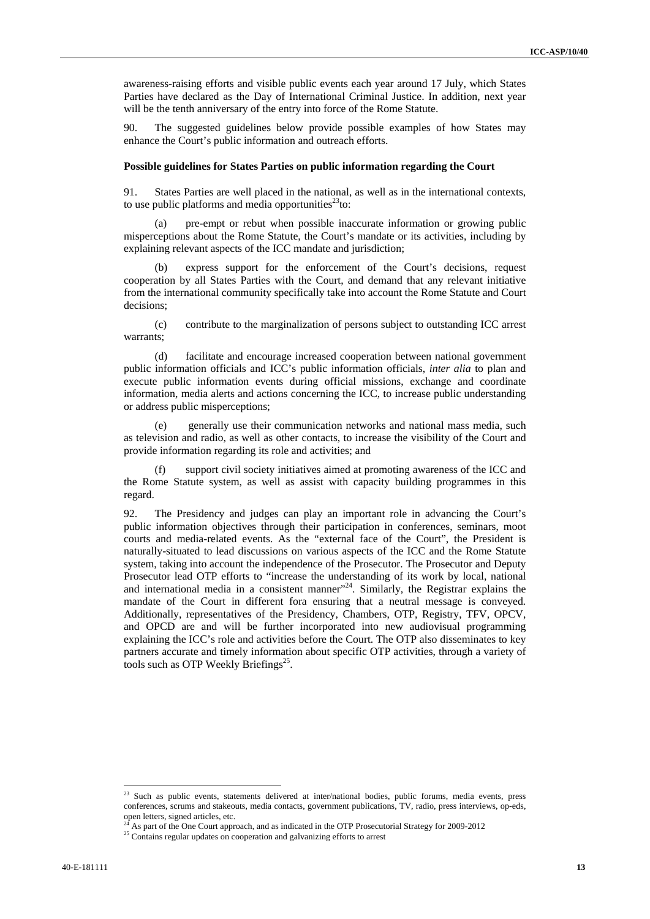awareness-raising efforts and visible public events each year around 17 July, which States Parties have declared as the Day of International Criminal Justice. In addition, next year will be the tenth anniversary of the entry into force of the Rome Statute.

90. The suggested guidelines below provide possible examples of how States may enhance the Court's public information and outreach efforts.

#### **Possible guidelines for States Parties on public information regarding the Court**

91. States Parties are well placed in the national, as well as in the international contexts, to use public platforms and media opportunities<sup>23</sup>to:

(a) pre-empt or rebut when possible inaccurate information or growing public misperceptions about the Rome Statute, the Court's mandate or its activities, including by explaining relevant aspects of the ICC mandate and jurisdiction;

express support for the enforcement of the Court's decisions, request cooperation by all States Parties with the Court, and demand that any relevant initiative from the international community specifically take into account the Rome Statute and Court decisions;

(c) contribute to the marginalization of persons subject to outstanding ICC arrest warrants;

(d) facilitate and encourage increased cooperation between national government public information officials and ICC's public information officials, *inter alia* to plan and execute public information events during official missions, exchange and coordinate information, media alerts and actions concerning the ICC, to increase public understanding or address public misperceptions;

generally use their communication networks and national mass media, such as television and radio, as well as other contacts, to increase the visibility of the Court and provide information regarding its role and activities; and

(f) support civil society initiatives aimed at promoting awareness of the ICC and the Rome Statute system, as well as assist with capacity building programmes in this regard.

92. The Presidency and judges can play an important role in advancing the Court's public information objectives through their participation in conferences, seminars, moot courts and media-related events. As the "external face of the Court", the President is naturally-situated to lead discussions on various aspects of the ICC and the Rome Statute system, taking into account the independence of the Prosecutor. The Prosecutor and Deputy Prosecutor lead OTP efforts to "increase the understanding of its work by local, national and international media in a consistent manner $124$ . Similarly, the Registrar explains the mandate of the Court in different fora ensuring that a neutral message is conveyed*.*  Additionally, representatives of the Presidency, Chambers, OTP, Registry, TFV, OPCV, and OPCD are and will be further incorporated into new audiovisual programming explaining the ICC's role and activities before the Court. The OTP also disseminates to key partners accurate and timely information about specific OTP activities, through a variety of tools such as OTP Weekly Briefings<sup>25</sup>.

<sup>&</sup>lt;sup>23</sup> Such as public events, statements delivered at inter/national bodies, public forums, media events, press conferences, scrums and stakeouts, media contacts, government publications, TV, radio, press interviews, op-eds, open letters, signed articles, etc.

<sup>&</sup>lt;sup>24</sup> As part of the One Court approach, and as indicated in the OTP Prosecutorial Strategy for 2009-2012<br><sup>25</sup> Contains regular updates on cooperation and galvanizing efforts to arrest